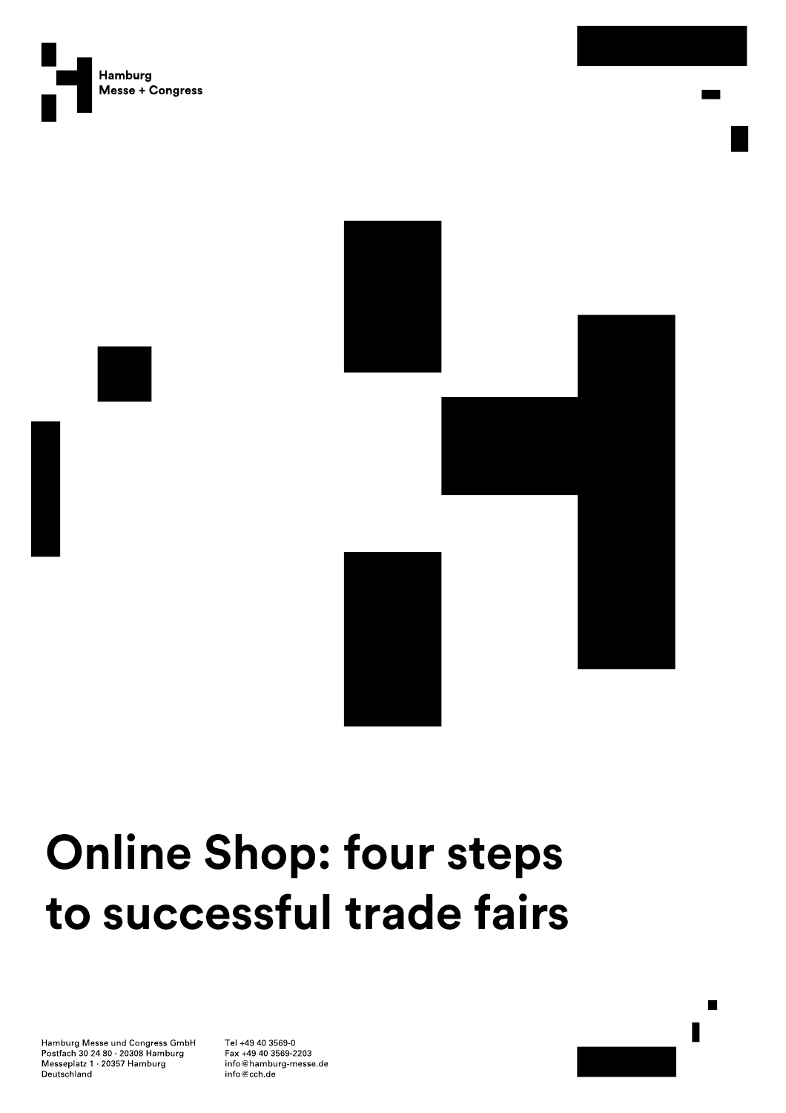



# **Online Shop: four steps** to successful trade fairs

Hamburg Messe und Congress GmbH Postfach 30 24 80 20308 Hamburg Messeplatz 1 20357 Hamburg Deutschland

Tel +49 40 3569-0 Fax +49 40 3569-2203 info@hamburg-messe.de info@cch.de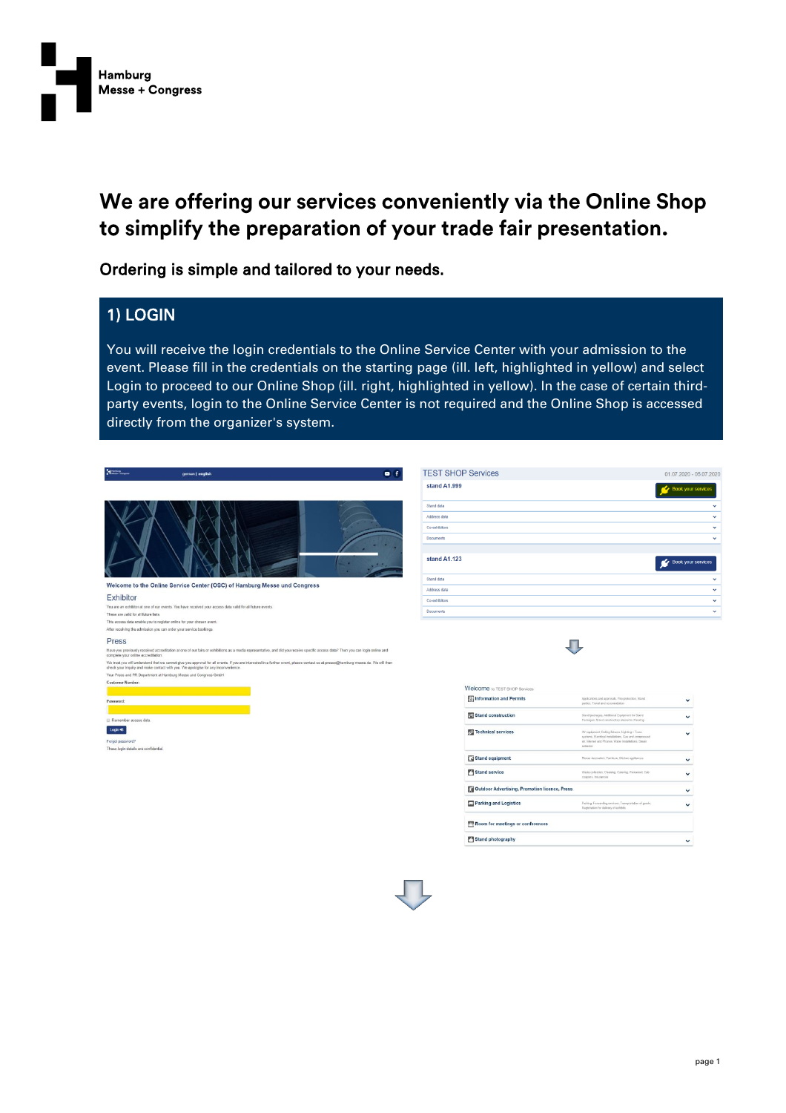

# We are offering our services conveniently via the Online Shop to simplify the preparation of your trade fair presentation.

Ordering is simple and tailored to your needs.

#### 1) LOGIN

You will receive the login credentials to the Online Service Center with your admission to the event. Please fill in the credentials on the starting page (ill. left, highlighted in yellow) and select Login to proceed to our Online Shop (ill. right, highlighted in yellow). In the case of certain thirdparty events, login to the Online Service Center is not required and the Online Shop is accessed directly from the organizer's system.

| Home-                                 | german   english                                                                                                                                                                                                                                                        | $-1$ | <b>TEST SHOP Services</b>  |                                                      |                                                                                                                | 01.07.2020 - 05.07.2020      |
|---------------------------------------|-------------------------------------------------------------------------------------------------------------------------------------------------------------------------------------------------------------------------------------------------------------------------|------|----------------------------|------------------------------------------------------|----------------------------------------------------------------------------------------------------------------|------------------------------|
|                                       |                                                                                                                                                                                                                                                                         |      | stand A1.999               |                                                      |                                                                                                                | Book your services           |
|                                       |                                                                                                                                                                                                                                                                         |      | Stand data                 |                                                      |                                                                                                                | $\checkmark$                 |
|                                       |                                                                                                                                                                                                                                                                         |      | Address data               |                                                      |                                                                                                                | $\checkmark$                 |
|                                       |                                                                                                                                                                                                                                                                         |      | Co-exhibitors              |                                                      |                                                                                                                | $\checkmark$                 |
|                                       |                                                                                                                                                                                                                                                                         |      | <b>Documents</b>           |                                                      |                                                                                                                | $\checkmark$                 |
|                                       |                                                                                                                                                                                                                                                                         |      | stand A1.123               |                                                      |                                                                                                                | Book your services           |
|                                       | Welcome to the Online Service Center (OSC) of Hamburg Messe und Congress                                                                                                                                                                                                |      | Stand data<br>Address data |                                                      |                                                                                                                | $\checkmark$<br>$\checkmark$ |
| Exhibitor                             |                                                                                                                                                                                                                                                                         |      |                            |                                                      |                                                                                                                |                              |
|                                       | You are an exhibitor at one of our events. You have received your access data valid for all future events.                                                                                                                                                              |      | Co-exhibitors              |                                                      |                                                                                                                | $\checkmark$                 |
| These are valid for all future fairs. |                                                                                                                                                                                                                                                                         |      | Documents                  |                                                      |                                                                                                                | $\checkmark$                 |
|                                       | This access data enable you to register online for your chosen event.                                                                                                                                                                                                   |      |                            |                                                      |                                                                                                                |                              |
|                                       | After receiving the admission you can order your service bookings.                                                                                                                                                                                                      |      |                            |                                                      |                                                                                                                |                              |
| Press                                 |                                                                                                                                                                                                                                                                         |      |                            |                                                      |                                                                                                                |                              |
| complete your online accreditation.   | Have you previously received accreditation at one of our fairs or exhibitions as a media representative, and did you receive specific access data? Then you can login online and                                                                                        |      |                            |                                                      |                                                                                                                |                              |
|                                       | We trust you will understand that we cannot give you approval for all events. If you are interested in a further event, please contact us at presse@hamburg-messe de. We will then<br>check your inquiry and make contact with you. We apologise for any inconvenience. |      |                            |                                                      |                                                                                                                |                              |
|                                       | Your Press and PR Department at Hamburg Messe und Congress GmbH                                                                                                                                                                                                         |      |                            |                                                      |                                                                                                                |                              |
| <b>Customer Number:</b>               |                                                                                                                                                                                                                                                                         |      |                            |                                                      |                                                                                                                |                              |
|                                       |                                                                                                                                                                                                                                                                         |      |                            | Welcome to TEST SHOP Services                        |                                                                                                                |                              |
| Password:                             |                                                                                                                                                                                                                                                                         |      |                            | <b>S</b> Information and Permits                     | Applications and approvals. Fire protection, Stand<br>parties. Travel and accomodation                         | $\checkmark$                 |
|                                       |                                                                                                                                                                                                                                                                         |      |                            |                                                      |                                                                                                                |                              |
| Remember access data                  |                                                                                                                                                                                                                                                                         |      |                            | Stand construction                                   | Stand packages, Additional Equipment for Stand<br>Packages, Stand construction elements, Flooring              | $\checkmark$                 |
| Login <sub>63</sub>                   |                                                                                                                                                                                                                                                                         |      |                            | <b>72</b> Technical services                         | AV equipment, Celling fixtures, Lighting + Truss                                                               |                              |
| Forgot password?                      |                                                                                                                                                                                                                                                                         |      |                            |                                                      | systems, Electrical installations. Gas and compressed<br>air, Internet and Phones, Viater Installations, Steam | $\checkmark$                 |
| These login details are confidential. |                                                                                                                                                                                                                                                                         |      |                            |                                                      | ostracion                                                                                                      |                              |
|                                       |                                                                                                                                                                                                                                                                         |      |                            | <b>E3</b> Stand equipment                            | Flower decoration, Familian, Kitchen appliences.                                                               | $\checkmark$                 |
|                                       |                                                                                                                                                                                                                                                                         |      |                            | Stand service                                        | Waste collection, Cleaning, Catering, Personnel, Cab.<br>coupons, Insurances                                   | $\checkmark$                 |
|                                       |                                                                                                                                                                                                                                                                         |      |                            | <b>Cutdoor Advertising, Promotion licence, Press</b> |                                                                                                                | $\checkmark$                 |
|                                       |                                                                                                                                                                                                                                                                         |      |                            | Parking and Logistics                                | Parking. Forwarding services, Transportation of goods,<br>Registration for delivery of exhibits                | $\checkmark$                 |
|                                       |                                                                                                                                                                                                                                                                         |      |                            | Room for meetings or conferences                     |                                                                                                                |                              |
|                                       |                                                                                                                                                                                                                                                                         |      |                            | Stand photography                                    |                                                                                                                | $\check{~}$                  |
|                                       |                                                                                                                                                                                                                                                                         |      |                            |                                                      |                                                                                                                |                              |
|                                       |                                                                                                                                                                                                                                                                         |      |                            |                                                      |                                                                                                                |                              |
|                                       |                                                                                                                                                                                                                                                                         |      |                            |                                                      |                                                                                                                |                              |
|                                       |                                                                                                                                                                                                                                                                         |      |                            |                                                      |                                                                                                                |                              |

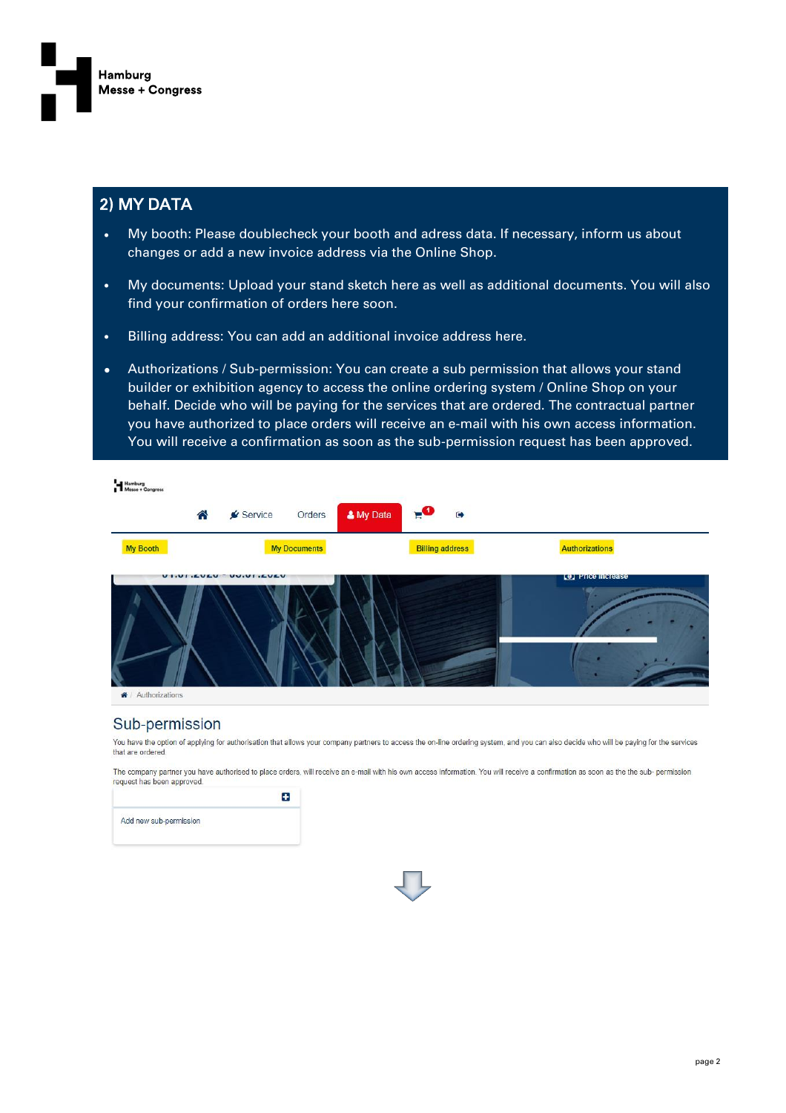

#### 2) MY DATA

- My booth: Please doublecheck your booth and adress data. If necessary, inform us about changes or add a new invoice address via the Online Shop.
- My documents: Upload your stand sketch here as well as additional documents. You will also find your confirmation of orders here soon.
- Billing address: You can add an additional invoice address here.
- Authorizations / Sub-permission: You can create a sub permission that allows your stand builder or exhibition agency to access the online ordering system / Online Shop on your behalf. Decide who will be paying for the services that are ordered. The contractual partner you have authorized to place orders will receive an e-mail with his own access information. You will receive a confirmation as soon as the sub-permission request has been approved.



#### Sub-permission

You have the option of applying for authorisation that allows your company partners to access the on-line ordering system, and you can also decide who will be paying for the services that are ordered

The company partner you have authorised to place orders, will receive an e-mail with his own access information. You will receive a confirmation as soon as the the sub- permission request has been approved.



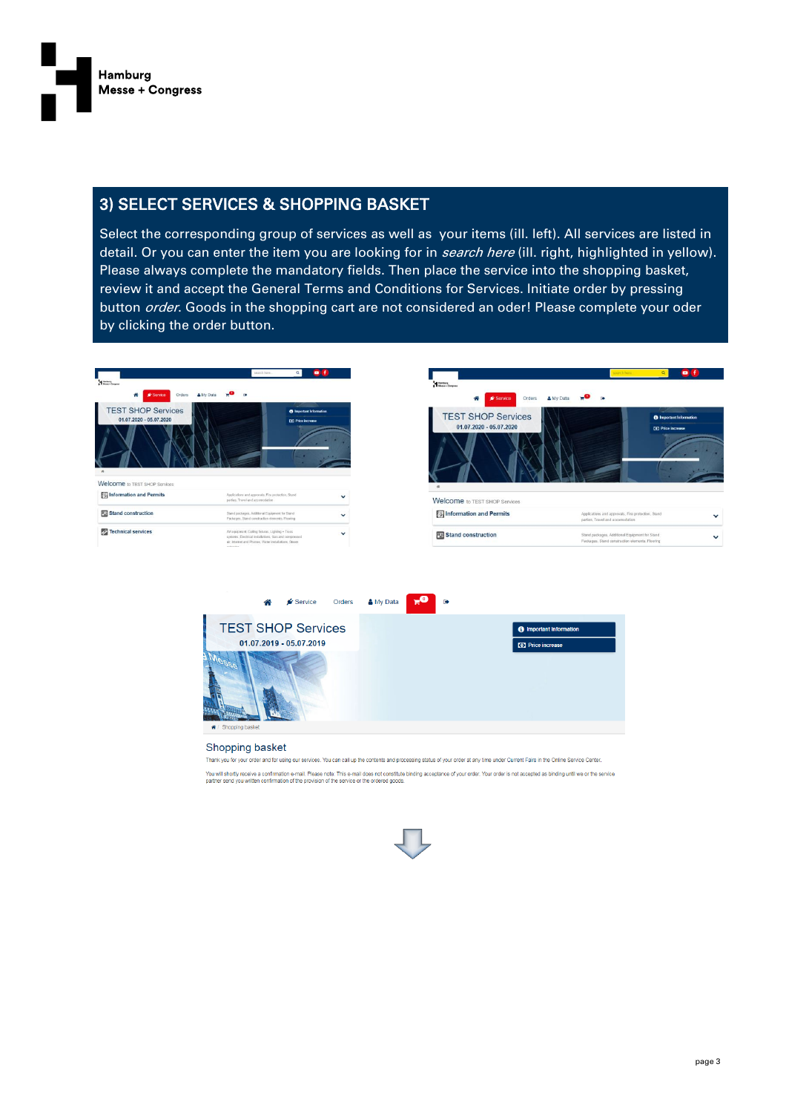

#### 3) SELECT SERVICES & SHOPPING BASKET

Select the corresponding group of services as well as your items (ill. left). All services are listed in detail. Or you can enter the item you are looking for in *search here* (ill. right, highlighted in yellow). Please always complete the mandatory fields. Then place the service into the shopping basket, review it and accept the General Terms and Conditions for Services. Initiate order by pressing button *order*. Goods in the shopping cart are not considered an oder! Please complete your oder by clicking the order button.





| S Information and Permits     | Applications and approvals, Fire protection, Stand<br>parties. Travel and accomodation            | ູ |
|-------------------------------|---------------------------------------------------------------------------------------------------|---|
| <b>FLI</b> Stand construction | Stand packages, Additional Equipment for Stand<br>Packages, Stand construction elements, Flooring | ັ |



#### Shopping basket

Thank you for your order and for using our services. You can call up the contents and processing status of your order at any time under Current Fairs in the Online Service Center.

You will shortly receive a confirmation e-mail. Please note: This e-mail does not constitute binding acceptance of your order. Your order is not accepted as binding until we or the service

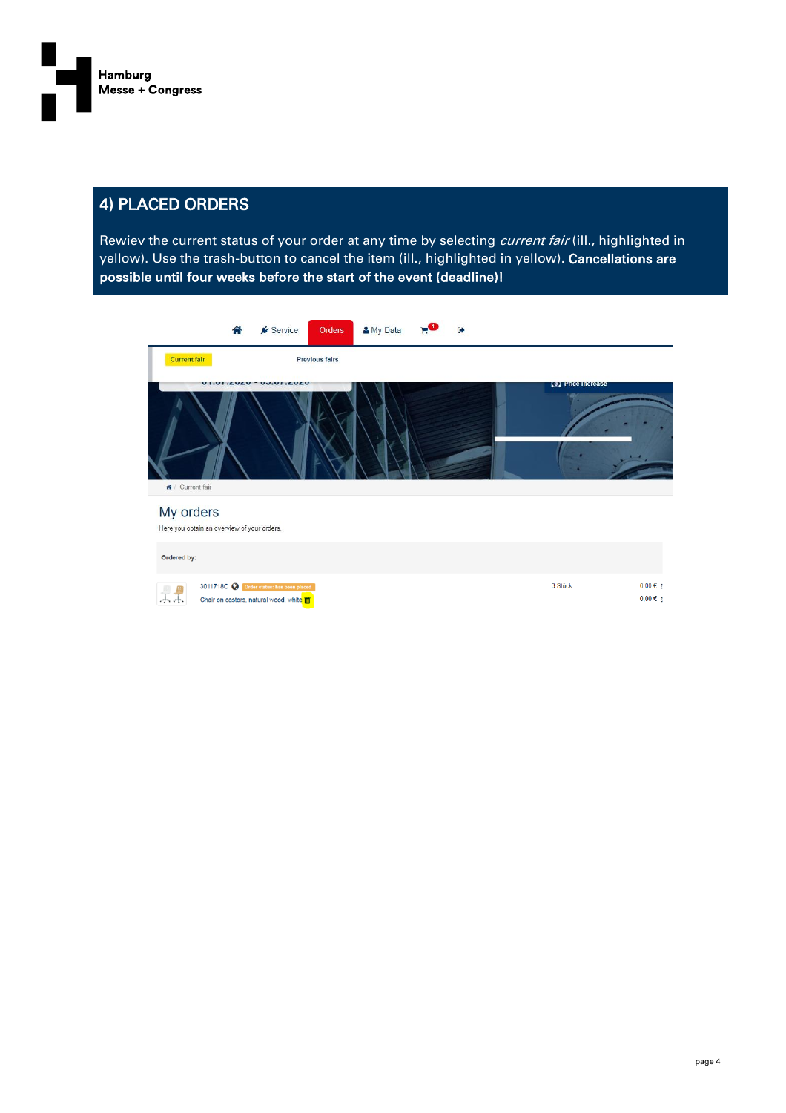

### 4) PLACED ORDERS

Rewiev the current status of your order at any time by selecting *current fair* (ill., highlighted in yellow). Use the trash-button to cancel the item (ill., highlighted in yellow). Cancellations are possible until four weeks before the start of the event (deadline)!